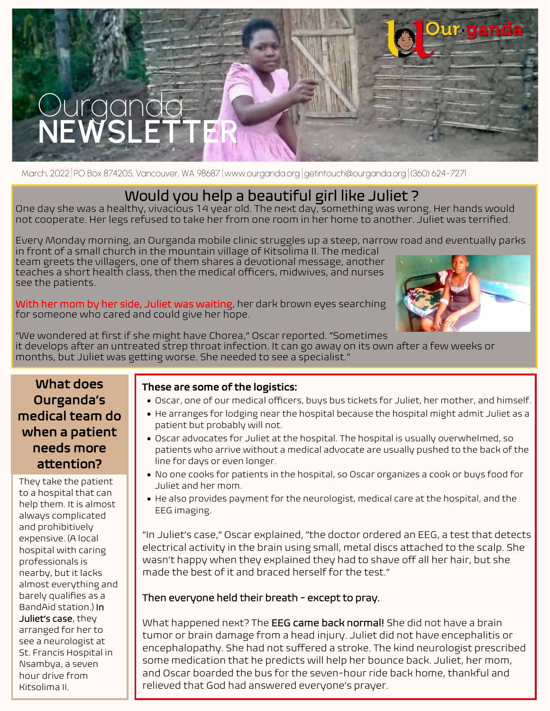

March, 2022 PO Box 874205, Vancouver, WA 98687 www.ourganda.org getintouch@ourganda.org (360) 624-7271

# Would you help a beautiful girl like Juliet ?

One day she was a healthy, vivacious 14 year old. The next day, something was wrong. Her hands would not cooperate. Her legs refused to take her from one room in her home to another. Juliet was terrified.

Every Monday morning, an Ourganda mobile clinic struggles up a steep, narrow road and eventually parks in front of a small church in the mountain village of Kitsolima II. The medical

team greets the villagers, one of them shares a devotional message, another teaches a short health class, then the medical officers, midwives, and nurses see the patients.

With her mom by her side, Juliet was waiting, her dark brown eyes searching for someone who cared and could give her hope.



"We wondered at first if she might have Chorea," Oscar reported. "Sometimes it develops after an untreated strep throat infection. It can go away on its own after a few weeks or months, but Juliet was getting worse. She needed to see a specialist."

### What does Ourganda's medical team do when a patient needs more attention?

They take the patient to a hospital that can help them. It is almost always complicated and prohibitively expensive. (A local hospital with caring professionals is nearby, but it lacks almost everything and barely qualifies as a BandAid station.) In Juliet's case, they arranged for her to see a neurologist at St. Francis Hospital in Nsambya, a seven hour drive from Kitsolima II.

#### These are some of the logistics:

- Oscar, one of our medical officers, buys bus tickets for Juliet, her mother, and himself.
- He arranges for lodging near the hospital because the hospital might admit Juliet as a patient but probably will not.
- Oscar advocates for Juliet at the hospital. The hospital is usually overwhelmed, so patients who arrive without a medical advocate are usually pushed to the back of the line for days or even longer.
- No one cooks for patients in the hospital, so Oscar organizes a cook or buys food for Juliet and her mom.
- He also provides payment for the neurologist, medical care at the hospital, and the EEG imaging.

"In Juliet's case," Oscar explained, "the doctor ordered an EEG, a test that detects electrical activity in the brain using small, metal discs attached to the scalp. She wasn't happy when they explained they had to shave off all her hair, but she made the best of it and braced herself for the test."

### Then everyone held their breath - except to pray.

What happened next? The **EEG came back normal!** She did not have a brain tumor or brain damage from a head injury. Juliet did not have encephalitis or encephalopathy. She had not suffered a stroke. The kind neurologist prescribed some medication that he predicts will help her bounce back. Juliet, her mom, and Oscar boarded the bus for the seven-hour ride back home, thankful and relieved that God had answered everyone's prayer.